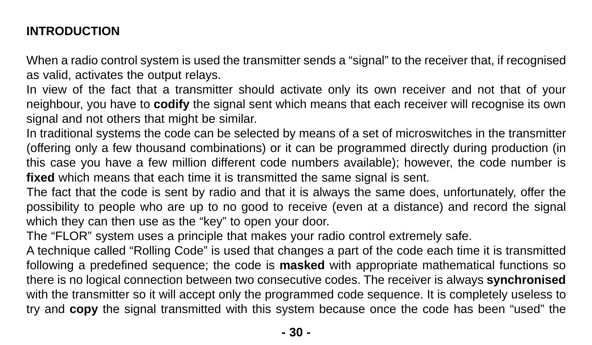# **[INTRODUCTION](https://nice.ro/accesorii.html)**

When a radio control system is used the transmitter sends a "signal" to the receiver that, if recognised as valid, activates the output relays.

In view of the fact that a transmitter should activate only its own receiver and not that of your neighbour, you have to **codify** the signal sent which means that each receiver will recognise its own signal and not others that might be similar.

In traditional systems the code can be selected by means of a set of microswitches in the transmitter (offering only a few thousand combinations) or it can be programmed directly during production (in this case you have a few million different code numbers available); however, the code number is **fixed** which means that each time it is transmitted the same signal is sent.

The fact that the code is sent by radio and that it is always the same does, unfortunately, offer the possibility to people who are up to no good to receive (even at a distance) and record the signal which they can then use as the "key" to open your door.

The "FLOR" system uses a principle that makes your radio control extremely safe.

A technique called "Rolling Code" is used that changes a part of the code each time it is transmitted following a predefined sequence; the code is **masked** with appropriate mathematical functions so there is no logical connection between two consecutive codes. The receiver is always **synchronised** with the transmitter so it will accept only the programmed code sequence. It is completely useless to try and **copy** the signal transmitted with this system because once the code has been "used" the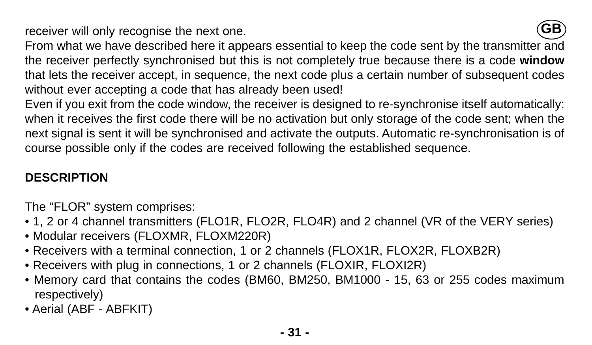receiver will only recognise the next one.



From what we have described here it appears essential to keep the code sent by the transmitter and the receiver perfectly synchronised but this is not completely true because there is a code **window** that lets the receiver accept, in sequence, the next code plus a certain number of subsequent codes without ever accepting a code that has already been used!

Even if you exit from the code window, the receiver is designed to re-synchronise itself automatically: when it receives the first code there will be no activation but only storage of the code sent; when the next signal is sent it will be synchronised and activate the outputs. Automatic re-synchronisation is of course possible only if the codes are received following the established sequence.

# **DESCRIPTION**

The "FLOR" system comprises:

- 1, 2 or 4 channel transmitters (FLO1R, FLO2R, FLO4R) and 2 channel (VR of the VERY series)
- Modular receivers (FLOXMR, FLOXM220R)
- Receivers with a terminal connection, 1 or 2 channels (FLOX1R, FLOX2R, FLOXB2R)
- Receivers with plug in connections, 1 or 2 channels (FLOXIR, FLOXI2R)
- Memory card that contains the codes (BM60, BM250, BM1000 15, 63 or 255 codes maximum respectively)
- Aerial (ABF ABFKIT)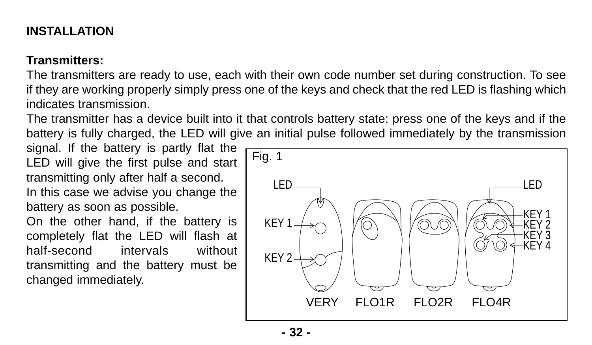# **INSTALLATION**

#### **Transmitters:**

The transmitters are ready to use, each with their own code number set during construction. To see if they are working properly simply press one of the keys and check that the red LED is flashing which indicates transmission.

The transmitter has a device built into it that controls battery state: press one of the keys and if the battery is fully charged, the LED will give an initial pulse followed immediately by the transmission

signal. If the battery is partly flat the LED will give the first pulse and start transmitting only after half a second. In this case we advise you change the battery as soon as possible.

On the other hand, if the battery is completely flat the LED will flash at half-second intervals without transmitting and the battery must be changed immediately.

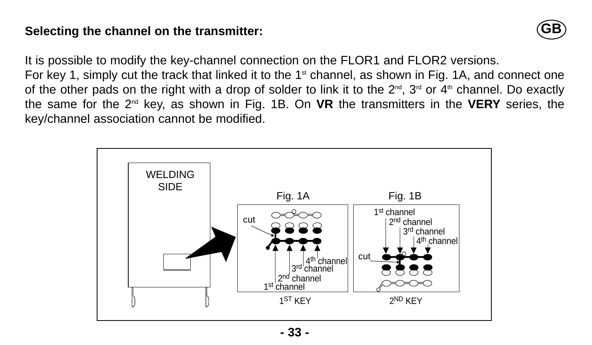#### **Selecting the channel on the transmitter:**



It is possible to modify the key-channel connection on the FLOR1 and FLOR2 versions. For key 1, simply cut the track that linked it to the 1<sup>st</sup> channel, as shown in Fig. 1A, and connect one of the other pads on the right with a drop of solder to link it to the  $2^{nd}$ ,  $3^{rd}$  or  $4^{th}$  channel. Do exactly the same for the 2nd key, as shown in Fig. 1B. On **VR** the transmitters in the **VERY** series, the

key/channel association cannot be modified.

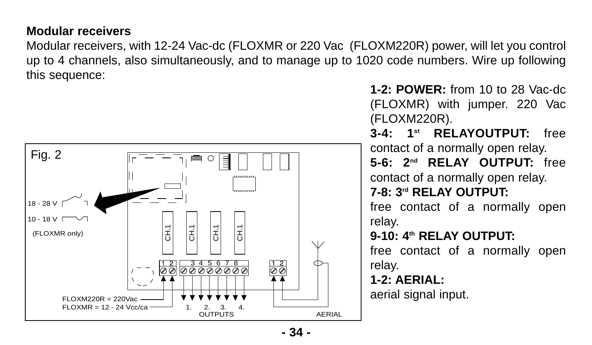#### **Modular receivers**

Modular receivers, with 12-24 Vac-dc (FLOXMR or 220 Vac (FLOXM220R) power, will let you control up to 4 channels, also simultaneously, and to manage up to 1020 code numbers. Wire up following this sequence:



**1-2: POWER:** from 10 to 28 Vac-dc (FLOXMR) with jumper. 220 Vac (FLOXM220R). **3-4: 1st RELAYOUTPUT:** free

contact of a normally open relay. **5-6: 2nd RELAY OUTPUT:** free contact of a normally open relay. **7-8: 3rd RELAY OUTPUT:**

free contact of a normally open relay.

**9-10: 4th RELAY OUTPUT:**

free contact of a normally open relay.

**1-2: AERIAL:**

aerial signal input.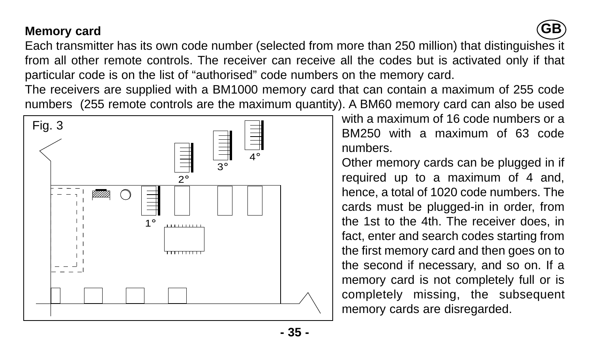# **Memory card**



Each transmitter has its own code number (selected from more than 250 million) that distinguishes it from all other remote controls. The receiver can receive all the codes but is activated only if that particular code is on the list of "authorised" code numbers on the memory card.

The receivers are supplied with a BM1000 memory card that can contain a maximum of 255 code numbers (255 remote controls are the maximum quantity). A BM60 memory card can also be used



with a maximum of 16 code numbers or a BM250 with a maximum of 63 code numbers.

Other memory cards can be plugged in if required up to a maximum of 4 and, hence, a total of 1020 code numbers. The cards must be plugged-in in order, from the 1st to the 4th. The receiver does, in fact, enter and search codes starting from the first memory card and then goes on to the second if necessary, and so on. If a memory card is not completely full or is completely missing, the subsequent memory cards are disregarded.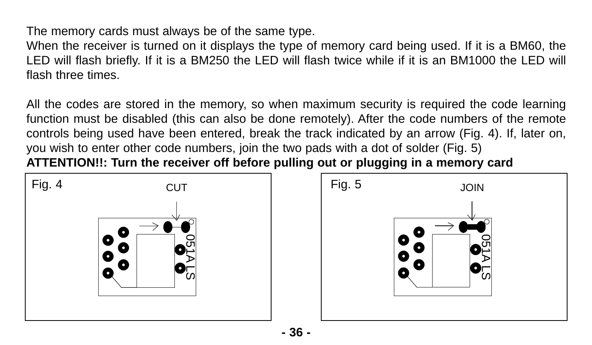The memory cards must always be of the same type.

When the receiver is turned on it displays the type of memory card being used. If it is a BM60, the LED will flash briefly. If it is a BM250 the LED will flash twice while if it is an BM1000 the LED will flash three times.

All the codes are stored in the memory, so when maximum security is required the code learning function must be disabled (this can also be done remotely). After the code numbers of the remote controls being used have been entered, break the track indicated by an arrow (Fig. 4). If, later on, you wish to enter other code numbers, join the two pads with a dot of solder (Fig. 5) **ATTENTION!!: Turn the receiver off before pulling out or plugging in a memory card**



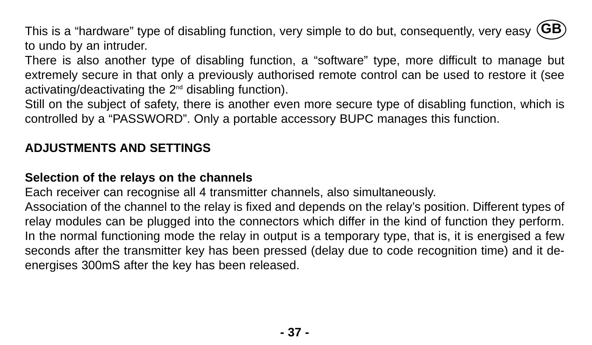This is a "hardware" type of disabling function, very simple to do but, consequently, very easy **GB**to undo by an intruder.

There is also another type of disabling function, a "software" type, more difficult to manage but extremely secure in that only a previously authorised remote control can be used to restore it (see activating/deactivating the  $2<sup>nd</sup>$  disabling function).

Still on the subject of safety, there is another even more secure type of disabling function, which is controlled by a "PASSWORD". Only a portable accessory BUPC manages this function.

# **ADJUSTMENTS AND SETTINGS**

## **Selection of the relays on the channels**

Each receiver can recognise all 4 transmitter channels, also simultaneously.

Association of the channel to the relay is fixed and depends on the relay's position. Different types of relay modules can be plugged into the connectors which differ in the kind of function they perform. In the normal functioning mode the relay in output is a temporary type, that is, it is energised a few seconds after the transmitter key has been pressed (delay due to code recognition time) and it deenergises 300mS after the key has been released.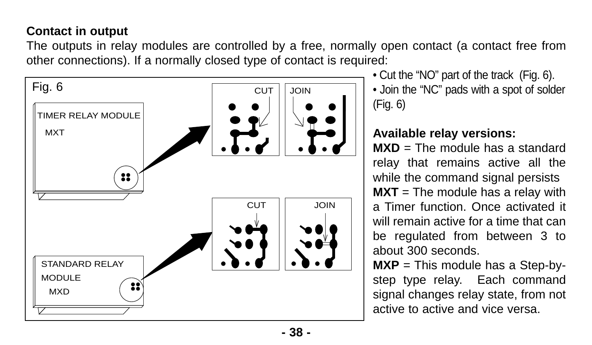# **Contact in output**

The outputs in relay modules are controlled by a free, normally open contact (a contact free from other connections). If a normally closed type of contact is required:



• Cut the "NO" part of the track (Fig. 6). • Join the "NC" pads with a spot of solder (Fig. 6)

# **Available relay versions:**

**MXD** = The module has a standard relay that remains active all the while the command signal persists **MXT** = The module has a relay with a Timer function. Once activated it will remain active for a time that can be regulated from between 3 to about 300 seconds.

**MXP** = This module has a Step-bystep type relay. Each command signal changes relay state, from not active to active and vice versa.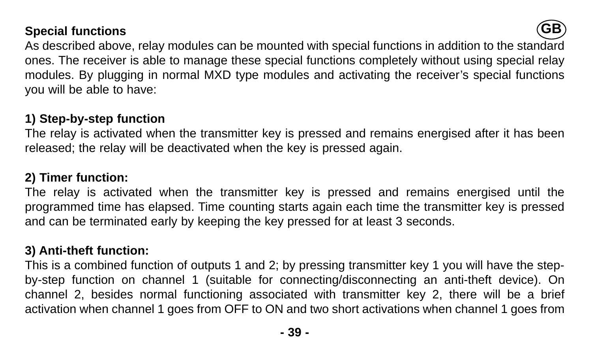#### **Special functions**



As described above, relay modules can be mounted with special functions in addition to the standard ones. The receiver is able to manage these special functions completely without using special relay modules. By plugging in normal MXD type modules and activating the receiver's special functions you will be able to have:

## **1) Step-by-step function**

The relay is activated when the transmitter key is pressed and remains energised after it has been released; the relay will be deactivated when the key is pressed again.

#### **2) Timer function:**

The relay is activated when the transmitter key is pressed and remains energised until the programmed time has elapsed. Time counting starts again each time the transmitter key is pressed and can be terminated early by keeping the key pressed for at least 3 seconds.

#### **3) Anti-theft function:**

This is a combined function of outputs 1 and 2; by pressing transmitter key 1 you will have the stepby-step function on channel 1 (suitable for connecting/disconnecting an anti-theft device). On channel 2, besides normal functioning associated with transmitter key 2, there will be a brief activation when channel 1 goes from OFF to ON and two short activations when channel 1 goes from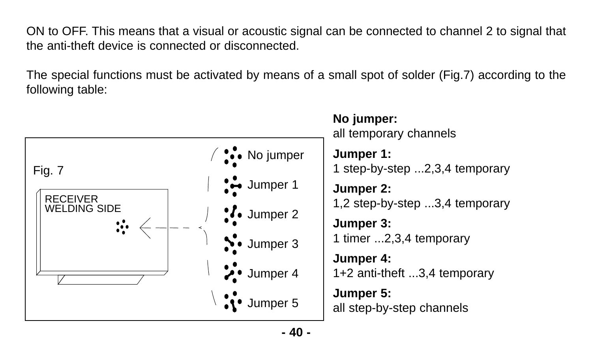ON to OFF. This means that a visual or acoustic signal can be connected to channel 2 to signal that the anti-theft device is connected or disconnected.

The special functions must be activated by means of a small spot of solder (Fig.7) according to the following table:



**- 40 -**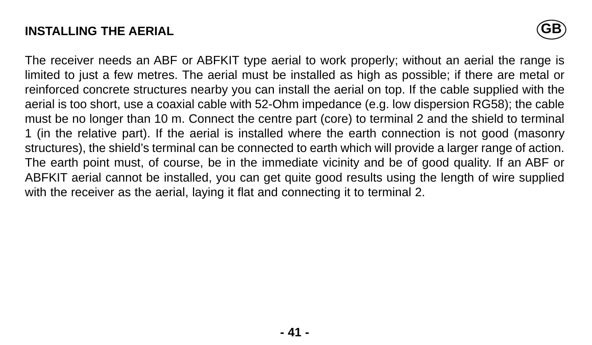## **INSTALLING THE AERIAL**



The receiver needs an ABF or ABFKIT type aerial to work properly; without an aerial the range is limited to just a few metres. The aerial must be installed as high as possible; if there are metal or reinforced concrete structures nearby you can install the aerial on top. If the cable supplied with the aerial is too short, use a coaxial cable with 52-Ohm impedance (e.g. low dispersion RG58); the cable must be no longer than 10 m. Connect the centre part (core) to terminal 2 and the shield to terminal 1 (in the relative part). If the aerial is installed where the earth connection is not good (masonry structures), the shield's terminal can be connected to earth which will provide a larger range of action. The earth point must, of course, be in the immediate vicinity and be of good quality. If an ABF or ABFKIT aerial cannot be installed, you can get quite good results using the length of wire supplied with the receiver as the aerial, laying it flat and connecting it to terminal 2.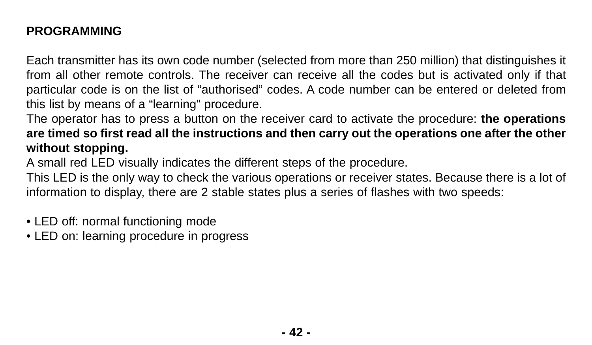# **PROGRAMMING**

Each transmitter has its own code number (selected from more than 250 million) that distinguishes it from all other remote controls. The receiver can receive all the codes but is activated only if that particular code is on the list of "authorised" codes. A code number can be entered or deleted from this list by means of a "learning" procedure.

The operator has to press a button on the receiver card to activate the procedure: **the operations are timed so first read all the instructions and then carry out the operations one after the other without stopping.** 

A small red LED visually indicates the different steps of the procedure.

This LED is the only way to check the various operations or receiver states. Because there is a lot of information to display, there are 2 stable states plus a series of flashes with two speeds:

- LED off: normal functioning mode
- LED on: learning procedure in progress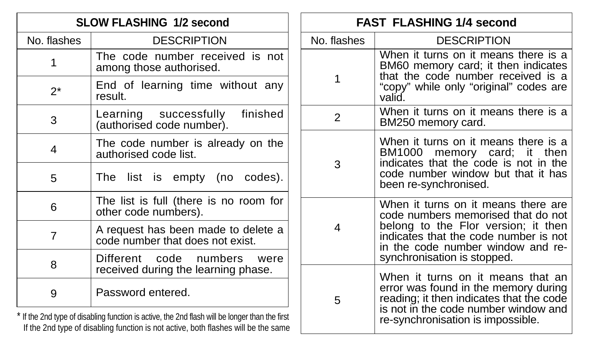| <b>SLOW FLASHING 1/2 second</b>                                                                                                                                                      |                                                                             | <b>FAST FLASHING 1/4 second</b> |                                                                                                                                                                                                |
|--------------------------------------------------------------------------------------------------------------------------------------------------------------------------------------|-----------------------------------------------------------------------------|---------------------------------|------------------------------------------------------------------------------------------------------------------------------------------------------------------------------------------------|
| No. flashes                                                                                                                                                                          | <b>DESCRIPTION</b>                                                          | No. flashes                     | <b>DESCRIPTION</b>                                                                                                                                                                             |
|                                                                                                                                                                                      | The code number received is not<br>among those authorised.                  |                                 | When it turns on it means there is a<br>BM60 memory card; it then indicates<br>that the code number received is a<br>"copy" while only "original" codes are<br>valid.                          |
| $2^*$                                                                                                                                                                                | End of learning time without any<br>result.                                 |                                 |                                                                                                                                                                                                |
| 3                                                                                                                                                                                    | finished<br>Learning successfully<br>(authorised code number).              | $\mathfrak{p}$                  | When it turns on it means there is a<br>BM250 memory card.                                                                                                                                     |
| 4                                                                                                                                                                                    | The code number is already on the<br>authorised code list.                  | 3                               | When it turns on it means there is a<br>BM1000 memory card; it then<br>indicates that the code is not in the<br>code number window but that it has<br>been re-synchronised.                    |
| 5                                                                                                                                                                                    | The list is empty (no codes).                                               |                                 |                                                                                                                                                                                                |
| 6                                                                                                                                                                                    | The list is full (there is no room for<br>other code numbers).              | 4                               | When it turns on it means there are<br>code numbers memorised that do not<br>belong to the Flor version; it then<br>indicates that the code number is not<br>in the code number window and re- |
| 7                                                                                                                                                                                    | A request has been made to delete a<br>code number that does not exist.     |                                 |                                                                                                                                                                                                |
| 8                                                                                                                                                                                    | Different<br>code<br>numbers<br>were<br>received during the learning phase. | 5                               | synchronisation is stopped.<br>When it turns on it means that an<br>error was found in the memory during<br>reading; it then indicates that the code                                           |
| 9                                                                                                                                                                                    | Password entered.                                                           |                                 |                                                                                                                                                                                                |
| * If the 2nd type of disabling function is active, the 2nd flash will be longer than the first<br>If the 2nd type of disabling function is not active, both flashes will be the same |                                                                             |                                 | is not in the code number window and<br>re-synchronisation is impossible.                                                                                                                      |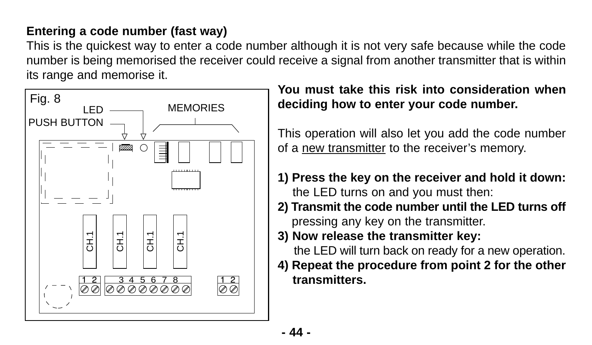# **Entering a code number (fast way)**

This is the quickest way to enter a code number although it is not very safe because while the code number is being memorised the receiver could receive a signal from another transmitter that is within its range and memorise it.



**You must take this risk into consideration when deciding how to enter your code number.**

This operation will also let you add the code number of a new transmitter to the receiver's memory.

- **1) Press the key on the receiver and hold it down:** the LED turns on and you must then:
- **2) Transmit the code number until the LED turns off** pressing any key on the transmitter.
- **3) Now release the transmitter key:**

the LED will turn back on ready for a new operation.

**4) Repeat the procedure from point 2 for the other transmitters.**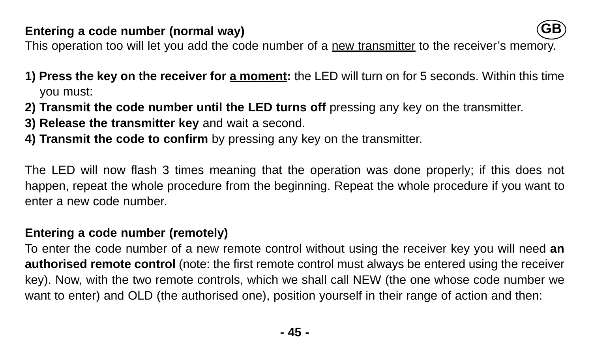#### **Entering a code number (normal way)**



This operation too will let you add the code number of a new transmitter to the receiver's memory.

- **1) Press the key on the receiver for a moment:** the LED will turn on for 5 seconds. Within this time you must:
- **2) Transmit the code number until the LED turns off** pressing any key on the transmitter.
- **3) Release the transmitter key** and wait a second.
- **4) Transmit the code to confirm** by pressing any key on the transmitter.

The LED will now flash 3 times meaning that the operation was done properly; if this does not happen, repeat the whole procedure from the beginning. Repeat the whole procedure if you want to enter a new code number.

# **Entering a code number (remotely)**

To enter the code number of a new remote control without using the receiver key you will need **an authorised remote control** (note: the first remote control must always be entered using the receiver key). Now, with the two remote controls, which we shall call NEW (the one whose code number we want to enter) and OLD (the authorised one), position yourself in their range of action and then: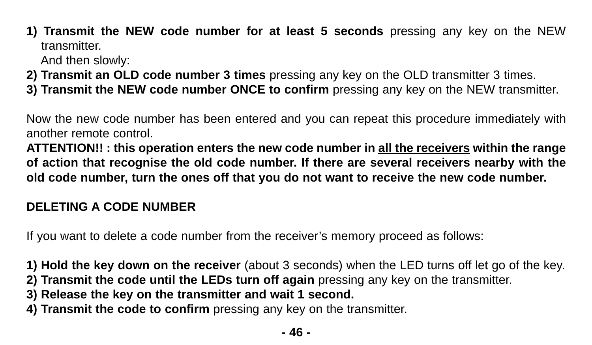**1) Transmit the NEW code number for at least 5 seconds** pressing any key on the NEW transmitter.

And then slowly:

- **2) Transmit an OLD code number 3 times** pressing any key on the OLD transmitter 3 times.
- **3) Transmit the NEW code number ONCE to confirm** pressing any key on the NEW transmitter.

Now the new code number has been entered and you can repeat this procedure immediately with another remote control.

**ATTENTION!! : this operation enters the new code number in all the receivers within the range of action that recognise the old code number. If there are several receivers nearby with the old code number, turn the ones off that you do not want to receive the new code number.**

# **DELETING A CODE NUMBER**

If you want to delete a code number from the receiver's memory proceed as follows:

**1) Hold the key down on the receiver** (about 3 seconds) when the LED turns off let go of the key.

- **2) Transmit the code until the LEDs turn off again** pressing any key on the transmitter.
- **3) Release the key on the transmitter and wait 1 second.**
- **4) Transmit the code to confirm** pressing any key on the transmitter.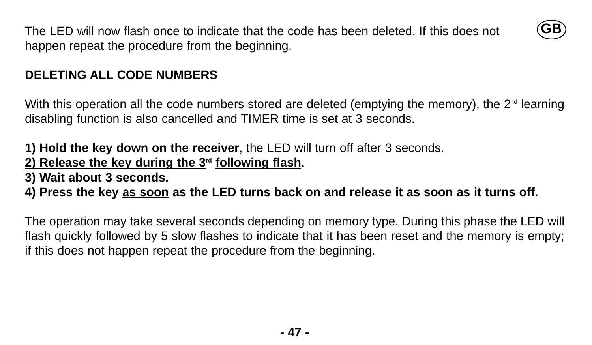The LED will now flash once to indicate that the code has been deleted. If this does not happen repeat the procedure from the beginning.



#### **DELETING ALL CODE NUMBERS**

With this operation all the code numbers stored are deleted (emptying the memory), the  $2<sup>nd</sup>$  learning disabling function is also cancelled and TIMER time is set at 3 seconds.

#### **1) Hold the key down on the receiver**, the LED will turn off after 3 seconds. **2) Release the key during the 3rd following flash.**

**3) Wait about 3 seconds.**

# **4) Press the key as soon as the LED turns back on and release it as soon as it turns off.**

The operation may take several seconds depending on memory type. During this phase the LED will flash quickly followed by 5 slow flashes to indicate that it has been reset and the memory is empty; if this does not happen repeat the procedure from the beginning.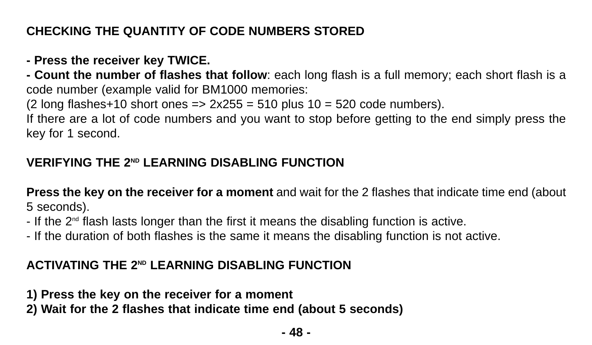# **CHECKING THE QUANTITY OF CODE NUMBERS STORED**

# **- Press the receiver key TWICE.**

**- Count the number of flashes that follow**: each long flash is a full memory; each short flash is a code number (example valid for BM1000 memories:

(2 long flashes+10 short ones  $\Rightarrow$  2x255 = 510 plus 10 = 520 code numbers).

If there are a lot of code numbers and you want to stop before getting to the end simply press the key for 1 second.

# **VERIFYING THE 2ND LEARNING DISABLING FUNCTION**

**Press the key on the receiver for a moment** and wait for the 2 flashes that indicate time end (about 5 seconds).

- $-$  If the  $2<sup>nd</sup>$  flash lasts longer than the first it means the disabling function is active.
- If the duration of both flashes is the same it means the disabling function is not active.

# **ACTIVATING THE 2ND LEARNING DISABLING FUNCTION**

**1) Press the key on the receiver for a moment** 

**2) Wait for the 2 flashes that indicate time end (about 5 seconds)**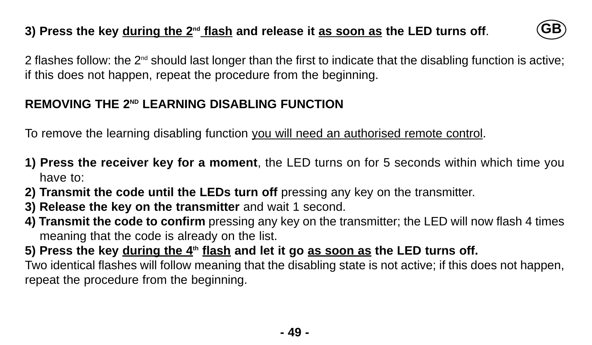# **3) Press the key during the 2nd flash and release it as soon as the LED turns off**.



2 flashes follow: the  $2<sup>nd</sup>$  should last longer than the first to indicate that the disabling function is active: if this does not happen, repeat the procedure from the beginning.

# **REMOVING THE 2ND LEARNING DISABLING FUNCTION**

To remove the learning disabling function you will need an authorised remote control.

- **1) Press the receiver key for a moment**, the LED turns on for 5 seconds within which time you have to:
- **2) Transmit the code until the LEDs turn off** pressing any key on the transmitter.
- **3) Release the key on the transmitter** and wait 1 second.
- **4) Transmit the code to confirm** pressing any key on the transmitter; the LED will now flash 4 times meaning that the code is already on the list.
- **5) Press the key during the 4th flash and let it go as soon as the LED turns off.** Two identical flashes will follow meaning that the disabling state is not active; if this does not happen, repeat the procedure from the beginning.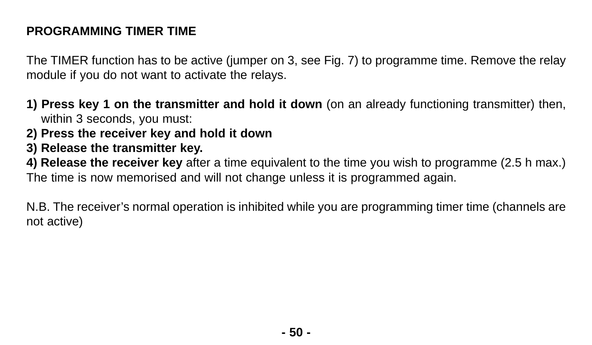# **PROGRAMMING TIMER TIME**

The TIMER function has to be active (jumper on 3, see Fig. 7) to programme time. Remove the relay module if you do not want to activate the relays.

- **1) Press key 1 on the transmitter and hold it down** (on an already functioning transmitter) then, within 3 seconds, you must:
- **2) Press the receiver key and hold it down**
- **3) Release the transmitter key.**

**4) Release the receiver key** after a time equivalent to the time you wish to programme (2.5 h max.) The time is now memorised and will not change unless it is programmed again.

N.B. The receiver's normal operation is inhibited while you are programming timer time (channels are not active)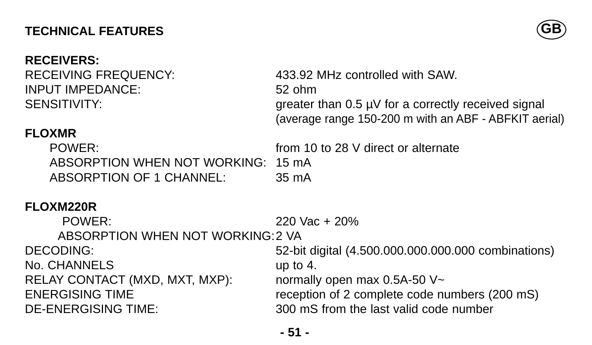# **TECHNICAL FEATURES**

#### **RECEIVERS:**

INPUT IMPEDANCE: 52 ohm



RECEIVING FREQUENCY: 433.92 MHz controlled with SAW. SENSITIVITY: SENSITIVITY: (average range 150-200 m with an ABF - ABFKIT aerial)

# **FLOXMR**

POWER: from 10 to 28 V direct or alternate ABSORPTION WHEN NOT WORKING: 15 mA ABSORPTION OF 1 CHANNEL: 35 mA

# **FLOXM220R**

POWER: 220 Vac + 20% ABSORPTION WHEN NOT WORKING:2 VA DECODING: 52-bit digital (4.500.000.000.000.000 combinations) No. CHANNELS up to 4. RELAY CONTACT (MXD, MXT, MXP): normally open max 0.5A-50 V~ ENERGISING TIME reception of 2 complete code numbers (200 mS) DE-ENERGISING TIME: 300 mS from the last valid code number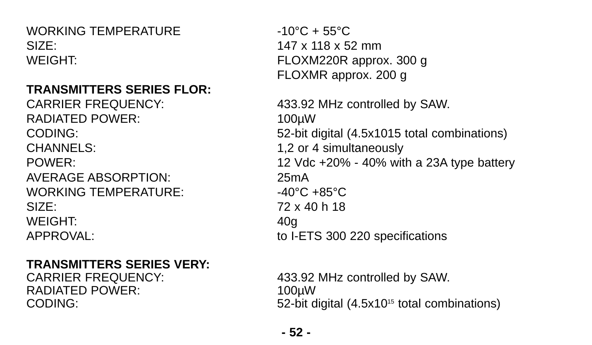WORKING TEMPERATURE  $-10\degree C + 55\degree C$ SIZE: 147 x 118 x 52 mm WEIGHT: FLOXM220R approx. 300 g

## **TRANSMITTERS SERIES FLOR:**

RADIATED POWER: 100uW CHANNELS: 1,2 or 4 simultaneously AVERAGE ABSORPTION: 25mA WORKING TEMPERATURE:  $-40^{\circ}$ C +85 $^{\circ}$ C  $SIZF: 72 \times 40 h 18$ WEIGHT: 40g APPROVAL: to I-ETS 300 220 specifications

## **TRANSMITTERS SERIES VERY:**

RADIATED POWER: 100µW

FLOXMR approx. 200 g

CARRIER FREQUENCY: 433.92 MHz controlled by SAW. CODING: 52-bit digital (4.5x1015 total combinations) POWER: 12 Vdc +20% - 40% with a 23A type battery

CARRIER FREQUENCY: 433.92 MHz controlled by SAW. CODING: 52-bit digital (4.5x10<sup>15</sup> total combinations)